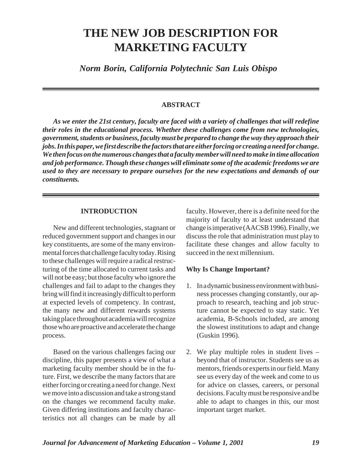# **THE NEW JOB DESCRIPTION FOR MARKETING FACULTY**

*Norm Borin, California Polytechnic San Luis Obispo* 

#### **ABSTRACT**

*As we enter the 21st century, faculty are faced with a variety of challenges that will redefine their roles in the educational process. Whether these challenges come from new technologies, government, students or business, faculty must be prepared to change the way they approach their jobs. In this paper, we first describe the factors that are either forcing or creating a need for change. We then focus on the numerous changes that a faculty member will need to make in time allocation and job performance. Though these changes will eliminate some of the academic freedoms we are used to they are necessary to prepare ourselves for the new expectations and demands of our constituents.* 

#### **INTRODUCTION**

New and different technologies, stagnant or reduced government support and changes in our key constituents, are some of the many environmental forces that challenge faculty today. Rising to these challenges will require a radical restructuring of the time allocated to current tasks and will not be easy; but those faculty who ignore the challenges and fail to adapt to the changes they bring will find it increasingly difficult to perform at expected levels of competency. In contrast, the many new and different rewards systems taking place throughout academia will recognize those who are proactive and accelerate the change process.

Based on the various challenges facing our discipline, this paper presents a view of what a marketing faculty member should be in the future. First, we describe the many factors that are either forcing or creating a need for change. Next we move into a discussion and take a strong stand on the changes we recommend faculty make. Given differing institutions and faculty characteristics not all changes can be made by all

faculty. However, there is a definite need for the majority of faculty to at least understand that change is imperative (AACSB 1996). Finally, we discuss the role that administration must play to facilitate these changes and allow faculty to succeed in the next millennium.

#### **Why Is Change Important?**

- 1. In a dynamic business environment with business processes changing constantly, our approach to research, teaching and job structure cannot be expected to stay static. Yet academia, B-Schools included, are among the slowest institutions to adapt and change (Guskin 1996).
- 2. We play multiple roles in student lives beyond that of instructor. Students see us as mentors, friends or experts in our field. Many see us every day of the week and come to us for advice on classes, careers, or personal decisions. Faculty must be responsive and be able to adapt to changes in this, our most important target market.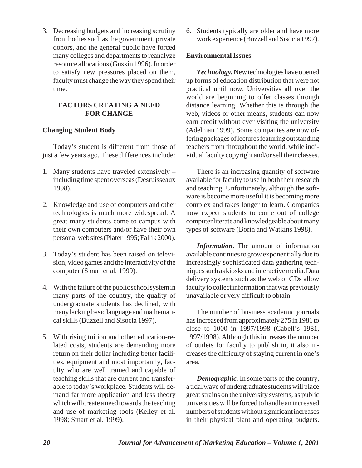3. Decreasing budgets and increasing scrutiny from bodies such as the government, private donors, and the general public have forced many colleges and departments to reanalyze resource allocations (Guskin 1996). In order to satisfy new pressures placed on them, faculty must change the way they spend their time.

# **FACTORS CREATING A NEED FOR CHANGE**

# **Changing Student Body**

Today's student is different from those of just a few years ago. These differences include:

- 1. Many students have traveled extensively including time spent overseas (Desruisseaux 1998).
- 2. Knowledge and use of computers and other technologies is much more widespread. A great many students come to campus with their own computers and/or have their own personal web sites (Plater 1995; Fallik 2000).
- 3. Today's student has been raised on television, video games and the interactivity of the computer (Smart et al. 1999).
- 4. With the failure of the public school system in many parts of the country, the quality of undergraduate students has declined, with many lacking basic language and mathematical skills (Buzzell and Sisocia 1997).
- 5. With rising tuition and other education-related costs, students are demanding more return on their dollar including better facilities, equipment and most importantly, faculty who are well trained and capable of teaching skills that are current and transferable to today's workplace. Students will demand far more application and less theory which will create a need towards the teaching and use of marketing tools (Kelley et al. 1998; Smart et al. 1999).

6. Students typically are older and have more work experience (Buzzell and Sisocia 1997).

# **Environmental Issues**

*Technology.*New technologies have opened up forms of education distribution that were not practical until now. Universities all over the world are beginning to offer classes through distance learning. Whether this is through the web, videos or other means, students can now earn credit without ever visiting the university (Adelman 1999). Some companies are now offering packages of lectures featuring outstanding teachers from throughout the world, while individual faculty copyright and/or sell their classes.

There is an increasing quantity of software available for faculty to use in both their research and teaching. Unfortunately, although the software is become more useful it is becoming more complex and takes longer to learn. Companies now expect students to come out of college computer literate and knowledgeable about many types of software (Borin and Watkins 1998).

*Information***.** The amount of information available continues to grow exponentially due to increasingly sophisticated data gathering techniques such as kiosks and interactive media. Data delivery systems such as the web or CDs allow faculty to collect information that was previously unavailable or very difficult to obtain.

The number of business academic journals has increased from approximately 275 in 1981 to close to 1000 in 1997/1998 (Cabell's 1981, 1997/1998). Although this increases the number of outlets for faculty to publish in, it also increases the difficulty of staying current in one's area.

*Demographic.* In some parts of the country, a tidal wave of undergraduate students will place great strains on the university systems, as public universities will be forced to handle an increased numbers of students without significant increases in their physical plant and operating budgets.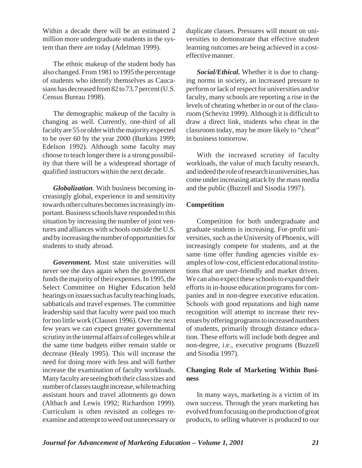Within a decade there will be an estimated 2 million more undergraduate students in the system than there are today (Adelman 1999).

The ethnic makeup of the student body has also changed. From 1981 to 1995 the percentage of students who identify themselves as Caucasians has decreased from 82 to 73.7 percent (U.S. Census Bureau 1998).

The demographic makeup of the faculty is changing as well. Currently, one-third of all faculty are 55 or older with the majority expected to be over 60 by the year 2000 (Burkins 1999; Edelson 1992). Although some faculty may choose to teach longer there is a strong possibility that there will be a widespread shortage of qualified instructors within the next decade.

*Globalization*. With business becoming increasingly global, experience in and sensitivity towards other cultures becomes increasingly important. Business schools have responded to this situation by increasing the number of joint ventures and alliances with schools outside the U.S. and by increasing the number of opportunities for students to study abroad.

*Government***.** Most state universities will never see the days again when the government funds the majority of their expenses. In 1995, the Select Committee on Higher Education held hearings on issues such as faculty teaching loads, sabbaticals and travel expenses. The committee leadership said that faculty were paid too much for too little work (Clausen 1996). Over the next few years we can expect greater governmental scrutiny in the internal affairs of colleges while at the same time budgets either remain stable or decrease (Healy 1995). This will increase the need for doing more with less and will further increase the examination of faculty workloads. Many faculty are seeing both their class sizes and number of classes taught increase, while teaching assistant hours and travel allotments go down (Altbach and Lewis 1992; Richardson 1999). Curriculum is often revisited as colleges reexamine and attempt to weed out unnecessary or

duplicate classes. Pressures will mount on universities to demonstrate that effective student learning outcomes are being achieved in a costeffective manner.

*Social/Ethical.* Whether it is due to changing norms in society, an increased pressure to perform or lack of respect for universities and/or faculty, many schools are reporting a rise in the levels of cheating whether in or out of the classroom (Schevitz 1999). Although it is difficult to draw a direct link, students who cheat in the classroom today, may be more likely to "cheat" in business tomorrow.

With the increased scrutiny of faculty workloads, the value of much faculty research, and indeed the role of research in universities, has come under increasing attack by the mass media and the public (Buzzell and Sisodia 1997).

#### **Competition**

Competition for both undergraduate and graduate students is increasing. For-profit universities, such as the University of Phoenix, will increasingly compete for students, and at the same time offer funding agencies visible examples of low-cost, efficient educational institutions that are user-friendly and market driven. We can also expect these schools to expand their efforts in in-house education programs for companies and in non-degree executive education. Schools with good reputations and high name recognition will attempt to increase their revenues by offering programs to increased numbers of students, primarily through distance education. These efforts will include both degree and non-degree, i.e., executive programs (Buzzell and Sisodia 1997).

## **Changing Role of Marketing Within Business**

In many ways, marketing is a victim of its own success. Through the years marketing has evolved from focusing on the production of great products, to selling whatever is produced to our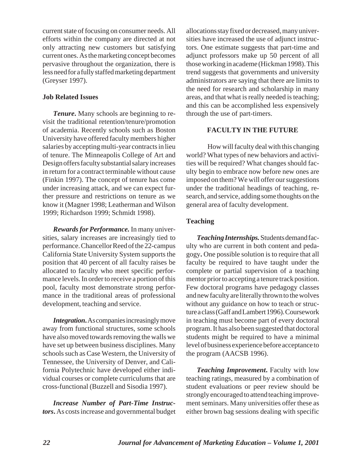current state of focusing on consumer needs. All efforts within the company are directed at not only attracting new customers but satisfying current ones. As the marketing concept becomes pervasive throughout the organization, there is less need for a fully staffed marketing department (Greyser 1997).

## **Job Related Issues**

*Tenure***.** Many schools are beginning to revisit the traditional retention/tenure/promotion of academia. Recently schools such as Boston University have offered faculty members higher salaries by accepting multi-year contracts in lieu of tenure. The Minneapolis College of Art and Design offers faculty substantial salary increases in return for a contract terminable without cause (Finkin 1997). The concept of tenure has come under increasing attack, and we can expect further pressure and restrictions on tenure as we know it (Magner 1998; Leatherman and Wilson 1999; Richardson 1999; Schmidt 1998).

*Rewards for Performance.* In many universities, salary increases are increasingly tied to performance. Chancellor Reed of the 22-campus California State University System supports the position that 40 percent of all faculty raises be allocated to faculty who meet specific performance levels. In order to receive a portion of this pool, faculty most demonstrate strong performance in the traditional areas of professional development, teaching and service.

*Integration***.**As companies increasingly move away from functional structures, some schools have also moved towards removing the walls we have set up between business disciplines. Many schools such as Case Western, the University of Tennessee, the University of Denver, and California Polytechnic have developed either individual courses or complete curriculums that are cross-functional (Buzzell and Sisodia 1997).

*Increase Number of Part-Time Instructors***.** As costs increase and governmental budget allocations stay fixed or decreased, many universities have increased the use of adjunct instructors. One estimate suggests that part-time and adjunct professors make up 50 percent of all those working in academe (Hickman 1998). This trend suggests that governments and university administrators are saying that there are limits to the need for research and scholarship in many areas, and that what is really needed is teaching; and this can be accomplished less expensively through the use of part-timers.

# **FACULTY IN THE FUTURE**

How will faculty deal with this changing world? What types of new behaviors and activities will be required? What changes should faculty begin to embrace now before new ones are imposed on them? We will offer our suggestions under the traditional headings of teaching, research, and service, adding some thoughts on the general area of faculty development.

# **Teaching**

*Teaching Internships.* Students demand faculty who are current in both content and pedagogy**.** One possible solution is to require that all faculty be required to have taught under the complete or partial supervision of a teaching mentor prior to accepting a tenure track position. Few doctoral programs have pedagogy classes and new faculty are literally thrown to the wolves without any guidance on how to teach or structure a class (Gaff and Lambert 1996). Coursework in teaching must become part of every doctoral program. It has also been suggested that doctoral students might be required to have a minimal level of business experience before acceptance to the program (AACSB 1996).

*Teaching Improvement***.** Faculty with low teaching ratings, measured by a combination of student evaluations or peer review should be strongly encouraged to attend teaching improvement seminars. Many universities offer these as either brown bag sessions dealing with specific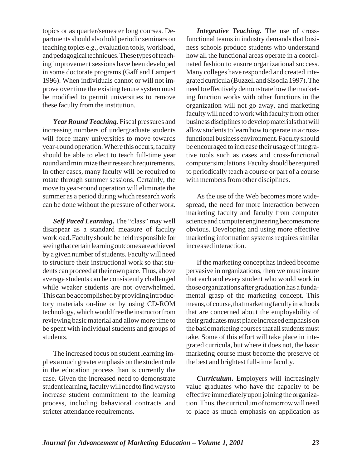topics or as quarter/semester long courses. Departments should also hold periodic seminars on teaching topics e.g., evaluation tools, workload, and pedagogical techniques. These types of teaching improvement sessions have been developed in some doctorate programs (Gaff and Lampert 1996). When individuals cannot or will not improve over time the existing tenure system must be modified to permit universities to remove these faculty from the institution.

*Year Round Teaching.* Fiscal pressures and increasing numbers of undergraduate students will force many universities to move towards year-round operation. Where this occurs, faculty should be able to elect to teach full-time year round and minimize their research requirements. In other cases, many faculty will be required to rotate through summer sessions. Certainly, the move to year-round operation will eliminate the summer as a period during which research work can be done without the pressure of other work.

*Self Paced Learning***.** The "class" may well disappear as a standard measure of faculty workload**.** Faculty should be held responsible for seeing that certain learning outcomes are achieved by a given number of students. Faculty will need to structure their instructional work so that students can proceed at their own pace. Thus, above average students can be consistently challenged while weaker students are not overwhelmed. This can be accomplished by providing introductory materials on-line or by using CD-ROM technology, which would free the instructor from reviewing basic material and allow more time to be spent with individual students and groups of students.

The increased focus on student learning implies a much greater emphasis on the student role in the education process than is currently the case. Given the increased need to demonstrate student learning, faculty will need to find ways to increase student commitment to the learning process, including behavioral contracts and stricter attendance requirements.

*Integrative Teaching***.** The use of crossfunctional teams in industry demands that business schools produce students who understand how all the functional areas operate in a coordinated fashion to ensure organizational success. Many colleges have responded and created integrated curricula (Buzzell and Sisodia 1997). The need to effectively demonstrate how the marketing function works with other functions in the organization will not go away, and marketing faculty will need to work with faculty from other business disciplines to develop materials that will allow students to learn how to operate in a crossfunctional business environment**.** Faculty should be encouraged to increase their usage of integrative tools such as cases and cross-functional computer simulations. Faculty should be required to periodically teach a course or part of a course with members from other disciplines.

As the use of the Web becomes more widespread, the need for more interaction between marketing faculty and faculty from computer science and computer engineering becomes more obvious. Developing and using more effective marketing information systems requires similar increased interaction.

If the marketing concept has indeed become pervasive in organizations, then we must insure that each and every student who would work in those organizations after graduation has a fundamental grasp of the marketing concept. This means, of course, that marketing faculty in schools that are concerned about the employability of their graduates must place increased emphasis on the basic marketing courses that all students must take. Some of this effort will take place in integrated curricula, but where it does not, the basic marketing course must become the preserve of the best and brightest full-time faculty.

*Curriculum***.** Employers will increasingly value graduates who have the capacity to be effective immediately upon joining the organization. Thus, the curriculum of tomorrow will need to place as much emphasis on application as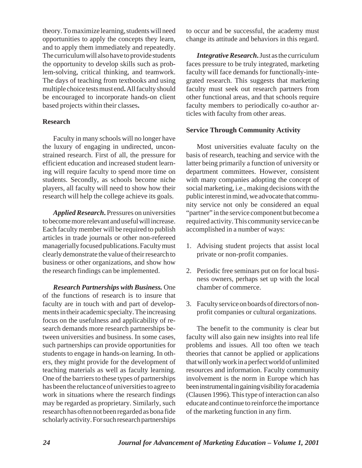theory. To maximize learning, students will need opportunities to apply the concepts they learn, and to apply them immediately and repeatedly. The curriculum will also have to provide students the opportunity to develop skills such as problem-solving, critical thinking, and teamwork. The days of teaching from textbooks and using multiple choice tests must end**.** All faculty should be encouraged to incorporate hands-on client based projects within their classes**.** 

## **Research**

Faculty in many schools will no longer have the luxury of engaging in undirected, unconstrained research. First of all, the pressure for efficient education and increased student learning will require faculty to spend more time on students. Secondly, as schools become niche players, all faculty will need to show how their research will help the college achieve its goals.

*Applied Research***.** Pressures on universities to become more relevant and useful will increase. Each faculty member will be required to publish articles in trade journals or other non-refereed managerially focused publications. Faculty must clearly demonstrate the value of their research to business or other organizations, and show how the research findings can be implemented.

*Research Partnerships with Business.* One of the functions of research is to insure that faculty are in touch with and part of developments in their academic specialty. The increasing focus on the usefulness and applicability of research demands more research partnerships between universities and business. In some cases, such partnerships can provide opportunities for students to engage in hands-on learning. In others, they might provide for the development of teaching materials as well as faculty learning. One of the barriers to these types of partnerships has been the reluctance of universities to agree to work in situations where the research findings may be regarded as proprietary. Similarly, such research has often not been regarded as bona fide scholarly activity. For such research partnerships to occur and be successful, the academy must change its attitude and behaviors in this regard.

*Integrative Research***.** Just as the curriculum faces pressure to be truly integrated, marketing faculty will face demands for functionally-integrated research. This suggests that marketing faculty must seek out research partners from other functional areas, and that schools require faculty members to periodically co-author articles with faculty from other areas.

## **Service Through Community Activity**

Most universities evaluate faculty on the basis of research, teaching and service with the latter being primarily a function of university or department committees. However, consistent with many companies adopting the concept of social marketing, i.e., making decisions with the public interest in mind, we advocate that community service not only be considered an equal "partner" in the service component but become a required activity. This community service can be accomplished in a number of ways:

- 1. Advising student projects that assist local private or non-profit companies.
- 2. Periodic free seminars put on for local business owners, perhaps set up with the local chamber of commerce.
- 3. Faculty service on boards of directors of nonprofit companies or cultural organizations.

The benefit to the community is clear but faculty will also gain new insights into real life problems and issues. All too often we teach theories that cannot be applied or applications that will only work in a perfect world of unlimited resources and information. Faculty community involvement is the norm in Europe which has been instrumental in gaining visibility for academia (Clausen 1996). This type of interaction can also educate and continue to reinforce the importance of the marketing function in any firm.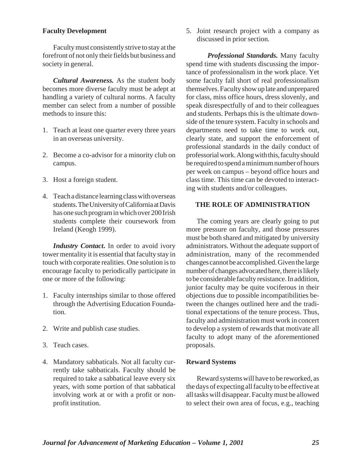### **Faculty Development**

Faculty must consistently strive to stay at the forefront of not only their fields but business and society in general.

*Cultural Awareness.* As the student body becomes more diverse faculty must be adept at handling a variety of cultural norms. A faculty member can select from a number of possible methods to insure this:

- 1. Teach at least one quarter every three years in an overseas university.
- 2. Become a co-advisor for a minority club on campus.
- 3. Host a foreign student.
- 4. Teach a distance learning class with overseas students. The University of California at Davis has one such program in which over 200 Irish students complete their coursework from Ireland (Keogh 1999).

*Industry Contact***.** In order to avoid ivory tower mentality it is essential that faculty stay in touch with corporate realities. One solution is to encourage faculty to periodically participate in one or more of the following:

- 1. Faculty internships similar to those offered through the Advertising Education Foundation.
- 2. Write and publish case studies.
- 3. Teach cases.
- 4. Mandatory sabbaticals. Not all faculty currently take sabbaticals. Faculty should be required to take a sabbatical leave every six years, with some portion of that sabbatical involving work at or with a profit or nonprofit institution.

5. Joint research project with a company as discussed in prior section.

*Professional Standards.* Many faculty spend time with students discussing the importance of professionalism in the work place. Yet some faculty fall short of real professionalism themselves. Faculty show up late and unprepared for class, miss office hours, dress slovenly, and speak disrespectfully of and to their colleagues and students. Perhaps this is the ultimate downside of the tenure system. Faculty in schools and departments need to take time to work out, clearly state, and support the enforcement of professional standards in the daily conduct of professorial work. Along with this, faculty should be required to spend a minimum number of hours per week on campus – beyond office hours and class time. This time can be devoted to interacting with students and/or colleagues.

#### **THE ROLE OF ADMINISTRATION**

The coming years are clearly going to put more pressure on faculty, and those pressures must be both shared and mitigated by university administrators. Without the adequate support of administration, many of the recommended changes cannot be accomplished. Given the large number of changes advocated here, there is likely to be considerable faculty resistance. In addition, junior faculty may be quite vociferous in their objections due to possible incompatibilities between the changes outlined here and the traditional expectations of the tenure process. Thus, faculty and administration must work in concert to develop a system of rewards that motivate all faculty to adopt many of the aforementioned proposals.

#### **Reward Systems**

Reward systems will have to be reworked, as the days of expecting all faculty to be effective at all tasks will disappear. Faculty must be allowed to select their own area of focus, e.g., teaching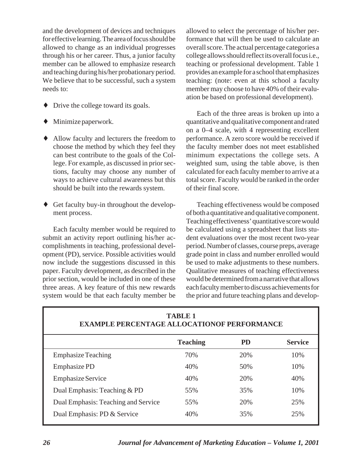and the development of devices and techniques for effective learning. The area of focus should be allowed to change as an individual progresses through his or her career. Thus, a junior faculty member can be allowed to emphasize research and teaching during his/her probationary period. We believe that to be successful, such a system needs to:

- Drive the college toward its goals.
- $\blacklozenge$  Minimize paperwork.
- ♦ Allow faculty and lecturers the freedom to choose the method by which they feel they can best contribute to the goals of the College. For example, as discussed in prior sections, faculty may choose any number of ways to achieve cultural awareness but this should be built into the rewards system.
- ♦ Get faculty buy-in throughout the development process.

Each faculty member would be required to submit an activity report outlining his/her accomplishments in teaching, professional development (PD), service. Possible activities would now include the suggestions discussed in this paper. Faculty development, as described in the prior section, would be included in one of these three areas. A key feature of this new rewards system would be that each faculty member be

allowed to select the percentage of his/her performance that will then be used to calculate an overall score. The actual percentage categories a college allows should reflect its overall focus i.e., teaching or professional development. Table 1 provides an example for a school that emphasizes teaching: (note: even at this school a faculty member may choose to have 40% of their evaluation be based on professional development).

Each of the three areas is broken up into a quantitative and qualitative component and rated on a 0–4 scale, with 4 representing excellent performance. A zero score would be received if the faculty member does not meet established minimum expectations the college sets. A weighted sum, using the table above, is then calculated for each faculty member to arrive at a total score. Faculty would be ranked in the order of their final score.

Teaching effectiveness would be composed of both a quantitative and qualitative component. Teaching effectiveness' quantitative score would be calculated using a spreadsheet that lists student evaluations over the most recent two-year period. Number of classes, course preps, average grade point in class and number enrolled would be used to make adjustments to these numbers. Qualitative measures of teaching effectiveness would be determined from a narrative that allows each faculty member to discuss achievements for the prior and future teaching plans and develop-

| EXAMPLE PERCENTAGE ALLOCATIONOF PERFORMANCE |                 |           |                |
|---------------------------------------------|-----------------|-----------|----------------|
|                                             | <b>Teaching</b> | <b>PD</b> | <b>Service</b> |
| <b>Emphasize Teaching</b>                   | 70%             | 20%       | 10%            |
| Emphasize PD                                | 40%             | 50%       | 10%            |
| <b>Emphasize Service</b>                    | 40%             | 20%       | 40%            |
| Dual Emphasis: Teaching & PD                | 55%             | 35%       | 10%            |
| Dual Emphasis: Teaching and Service         | 55%             | 20%       | 25%            |
| Dual Emphasis: PD & Service                 | 40%             | 35%       | 25%            |

# **TABLE 1 EXAMPLE PERCENTAGE ALLOCATIONOF PERFORMANCE**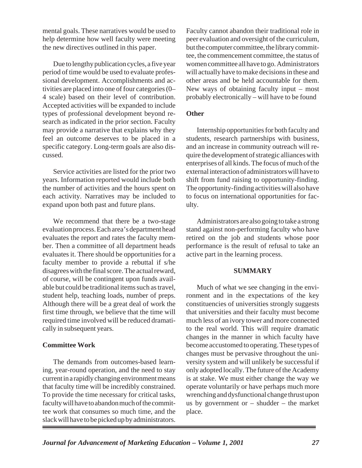mental goals. These narratives would be used to help determine how well faculty were meeting the new directives outlined in this paper.

Due to lengthy publication cycles, a five year period of time would be used to evaluate professional development. Accomplishments and activities are placed into one of four categories (0– 4 scale) based on their level of contribution. Accepted activities will be expanded to include types of professional development beyond research as indicated in the prior section. Faculty may provide a narrative that explains why they feel an outcome deserves to be placed in a specific category. Long-term goals are also discussed.

Service activities are listed for the prior two years. Information reported would include both the number of activities and the hours spent on each activity. Narratives may be included to expand upon both past and future plans.

We recommend that there be a two-stage evaluation process. Each area's department head evaluates the report and rates the faculty member. Then a committee of all department heads evaluates it. There should be opportunities for a faculty member to provide a rebuttal if s/he disagrees with the final score. The actual reward, of course, will be contingent upon funds available but could be traditional items such as travel, student help, teaching loads, number of preps. Although there will be a great deal of work the first time through, we believe that the time will required time involved will be reduced dramatically in subsequent years.

## **Committee Work**

The demands from outcomes-based learning, year-round operation, and the need to stay current in a rapidly changing environment means that faculty time will be incredibly constrained. To provide the time necessary for critical tasks, faculty will have to abandon much of the committee work that consumes so much time, and the slack will have to be picked up by administrators. Faculty cannot abandon their traditional role in peer evaluation and oversight of the curriculum, but the computer committee, the library committee, the commencement committee, the status of women committee all have to go. Administrators will actually have to make decisions in these and other areas and be held accountable for them. New ways of obtaining faculty input – most probably electronically – will have to be found

## **Other**

Internship opportunities for both faculty and students, research partnerships with business, and an increase in community outreach will require the development of strategic alliances with enterprises of all kinds. The focus of much of the external interaction of administrators will have to shift from fund raising to opportunity-finding. The opportunity-finding activities will also have to focus on international opportunities for faculty.

Administrators are also going to take a strong stand against non-performing faculty who have retired on the job and students whose poor performance is the result of refusal to take an active part in the learning process.

### **SUMMARY**

Much of what we see changing in the environment and in the expectations of the key constituencies of universities strongly suggests that universities and their faculty must become much less of an ivory tower and more connected to the real world. This will require dramatic changes in the manner in which faculty have become accustomed to operating. These types of changes must be pervasive throughout the university system and will unlikely be successful if only adopted locally. The future of the Academy is at stake. We must either change the way we operate voluntarily or have perhaps much more wrenching and dysfunctional change thrust upon us by government or  $-$  shudder  $-$  the market place.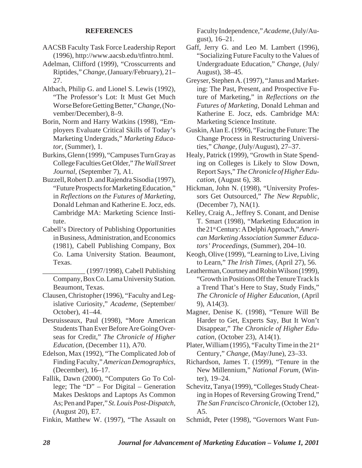## **REFERENCES**

- AACSB Faculty Task Force Leadership Report (1996), http://www.aacsb.edu/tfintro.html.
- Adelman, Clifford (1999), "Crosscurrents and Riptides," *Change,* (January/February), 21– 27.
- Altbach, Philip G. and Lionel S. Lewis (1992), "The Professor's Lot: It Must Get Much Worse Before Getting Better," *Change,*(November/December), 8–9.
- Borin, Norm and Harry Watkins (1998), "Employers Evaluate Critical Skills of Today's Marketing Undergrads," *Marketing Educator,* (Summer), 1.
- Burkins, Glenn (1999), "Campuses Turn Gray as College Faculties Get Older," *The Wall Street Journal,* (September 7), A1.
- Buzzell, Robert D. and Rajendra Sisodia (1997), "Future Prospects for Marketing Education," in *Reflections on the Futures of Marketing,*  Donald Lehman and Katherine E. Jocz, eds. Cambridge MA: Marketing Science Institute.
- Cabell's Directory of Publishing Opportunities in Business, Administration, and Economics (1981), Cabell Publishing Company, Box Co. Lama University Station. Beaumont, Texas.

\_\_\_\_\_\_\_\_\_\_\_\_ (1997/1998), Cabell Publishing Company, Box Co. Lama University Station. Beaumont, Texas.

- Clausen, Christopher (1996), "Faculty and Legislative Curiosity," *Academe,* (September/ October), 41–44.
- Desruisseaux, Paul (1998), "More American Students Than Ever Before Are Going Overseas for Credit," *The Chronicle of Higher Education,* (December 11), A70.
- Edelson, Max (1992), "The Complicated Job of Finding Faculty," *American Demographics,*  (December), 16–17.
- Fallik, Dawn (2000), "Computers Go To College; The "D" – For Digital – Generation Makes Desktops and Laptops As Common As; Pen and Paper," *St. Louis Post-Dispatch,*  (August 20), E7.
- Finkin, Matthew W. (1997), "The Assault on

Faculty Independence," *Academe,* (July/August), 16–21.

- Gaff, Jerry G. and Leo M. Lambert (1996), "Socializing Future Faculty to the Values of Undergraduate Education," *Change,* (July/ August), 38–45.
- Greyser, Stephen A. (1997), "Janus and Marketing: The Past, Present, and Prospective Future of Marketing," in *Reflections on the Futures of Marketing,* Donald Lehman and Katherine E. Jocz, eds. Cambridge MA: Marketing Science Institute.
- Guskin, Alan E. (1996), "Facing the Future: The Change Process in Restructuring Universities," *Change,* (July/August), 27–37.
- Healy, Patrick (1999), "Growth in State Spending on Colleges is Likely to Slow Down, Report Says," *The Chronicle of Higher Education,* (August 6), 38.
- Hickman, John N. (1998), "University Professors Get Outsourced," *The New Republic,*  (December 7), NA(1).
- Kelley, Craig A., Jeffrey S. Conant, and Denise T. Smart (1998), "Marketing Education in the 21st Century: A Delphi Approach,"*American Marketing Association Summer Educators' Proceedings,* (Summer), 204–10.
- Keogh, Olive (1999), "Learning to Live, Living to Learn," *The Irish Times,* (April 27), 56.
- Leatherman, Courtney and Robin Wilson (1999), "Growth in Positions Off the Tenure Track Is a Trend That's Here to Stay, Study Finds," *The Chronicle of Higher Education,* (April 9), A14(3).
- Magner, Denise K. (1998), "Tenure Will Be Harder to Get, Experts Say, But It Won't Disappear," *The Chronicle of Higher Education,* (October 23), A14(1).
- Plater, William (1995), "Faculty Time in the 21<sup>st</sup> Century," *Change,* (May/June), 23–33.
- Richardson, James T. (1999), "Tenure in the New Millennium," *National Forum,* (Winter), 19–24.
- Schevitz, Tanya (1999), "Colleges Study Cheating in Hopes of Reversing Growing Trend," *The San Francisco Chronicle,* (October 12), A5.
- Schmidt, Peter (1998), "Governors Want Fun-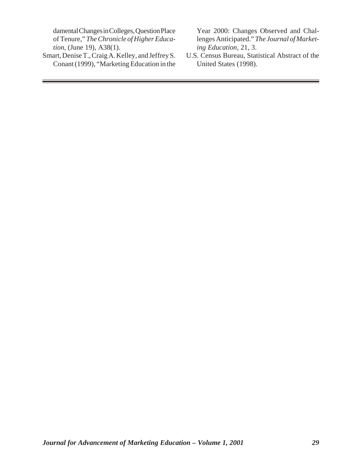*tion,* (June 19), A38(1).<br>
Smart, Denise T., Craig A. Kelley, and Jeffrey S.

Conant (1999), "Marketing Education in the

damental Changes in Colleges, Question Place Year 2000: Changes Observed and Chal-<br>of Tenure," The Chronicle of Higher Educa-<br>lenges Anticipated." The Journal of Marketlenges Anticipated." *The Journal of Market-*<br>ing Education, 21, 3.

U.S. Census Bureau, Statistical Abstract of the United States (1998).